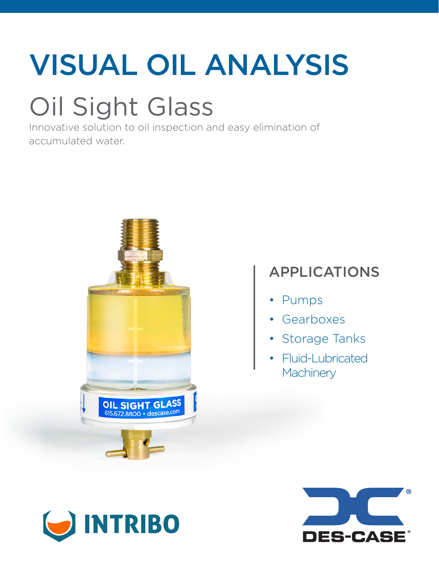# VISUAL OIL ANALYSIS

### Oil Sight Glass

Innovative solution to oil inspection and easy elimination of accumulated water.



### APPLICATIONS

- Pumps
- Gearboxes
- Storage Tanks
- Fluid-Lubricated **Machinery**



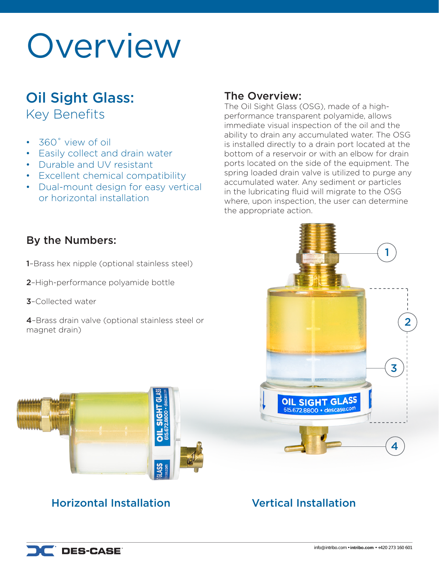### Overview

### Oil Sight Glass:

Key Benefits

- 360˚ view of oil
- **Easily collect and drain water**
- Durable and UV resistant
- Excellent chemical compatibility
- Dual-mount design for easy vertical or horizontal installation

#### The Overview:

The Oil Sight Glass (OSG), made of a highperformance transparent polyamide, allows immediate visual inspection of the oil and the ability to drain any accumulated water. The OSG is installed directly to a drain port located at the bottom of a reservoir or with an elbow for drain ports located on the side of the equipment. The spring loaded drain valve is utilized to purge any accumulated water. Any sediment or particles in the lubricating fluid will migrate to the OSG where, upon inspection, the user can determine the appropriate action.

#### By the Numbers:

1–Brass hex nipple (optional stainless steel)

- 2–High-performance polyamide bottle
- 3–Collected water
- 4–Brass drain valve (optional stainless steel or magnet drain)



### Horizontal Installation Vertical Installation

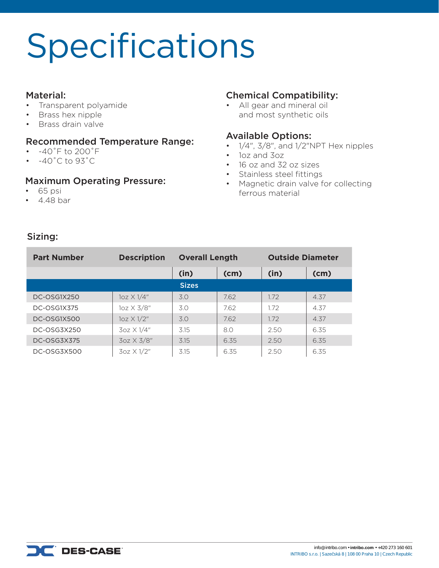# Specifications

#### Material:

- Transparent polyamide
- Brass hex nipple
- Brass drain valve

#### Recommended Temperature Range:

- $-40^{\circ}$  F to 200°F
- $\cdot$  -40°C to 93°C

#### Maximum Operating Pressure:

- 65 psi
- 4.48 bar

#### Chemical Compatibility:

• All gear and mineral oil and most synthetic oils

#### Available Options:

- $\cdot$  1/4", 3/8", and 1/2"NPT Hex nipples
- 1oz and 3oz
- 16 oz and 32 oz sizes
- Stainless steel fittings
- Magnetic drain valve for collecting ferrous material

#### Sizing:

| <b>Part Number</b> | <b>Description</b> | <b>Overall Length</b> |      | <b>Outside Diameter</b> |      |
|--------------------|--------------------|-----------------------|------|-------------------------|------|
|                    |                    | (in)                  | (cm) | (in)                    | (cm) |
|                    |                    | <b>Sizes</b>          |      |                         |      |
| DC-OSG1X250        | $10z \times 1/4"$  | 3.0                   | 7.62 | 1.72                    | 4.37 |
| DC-OSG1X375        | 1oz X 3/8"         | 3.0                   | 7.62 | 1.72                    | 4.37 |
| DC-OSG1X500        | $1oz \times 1/2"$  | 3.0                   | 7.62 | 1.72                    | 4.37 |
| DC-OSG3X250        | $3oz \times 1/4"$  | 3.15                  | 8.0  | 2.50                    | 6.35 |
| DC-OSG3X375        | 3oz X 3/8"         | 3.15                  | 6.35 | 2.50                    | 6.35 |
| DC-OSG3X500        | 3oz X 1/2"         | 3.15                  | 6.35 | 2.50                    | 6.35 |